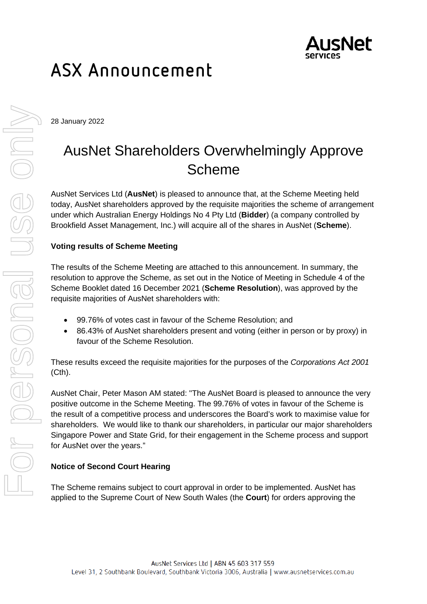

# ASX Announcement

28 January 2022

## AusNet Shareholders Overwhelmingly Approve Scheme

AusNet Services Ltd (**AusNet**) is pleased to announce that, at the Scheme Meeting held today, AusNet shareholders approved by the requisite majorities the scheme of arrangement under which Australian Energy Holdings No 4 Pty Ltd (**Bidder**) (a company controlled by Brookfield Asset Management, Inc.) will acquire all of the shares in AusNet (**Scheme**).

### **Voting results of Scheme Meeting**

The results of the Scheme Meeting are attached to this announcement. In summary, the resolution to approve the Scheme, as set out in the Notice of Meeting in Schedule 4 of the Scheme Booklet dated 16 December 2021 (**Scheme Resolution**), was approved by the requisite majorities of AusNet shareholders with:

- 99.76% of votes cast in favour of the Scheme Resolution; and
- 86.43% of AusNet shareholders present and voting (either in person or by proxy) in favour of the Scheme Resolution.

These results exceed the requisite majorities for the purposes of the *Corporations Act 2001*  (Cth).

AusNet Chair, Peter Mason AM stated: "The AusNet Board is pleased to announce the very positive outcome in the Scheme Meeting. The 99.76% of votes in favour of the Scheme is the result of a competitive process and underscores the Board's work to maximise value for shareholders. We would like to thank our shareholders, in particular our major shareholders Singapore Power and State Grid, for their engagement in the Scheme process and support for AusNet over the years."

#### **Notice of Second Court Hearing**

The Scheme remains subject to court approval in order to be implemented. AusNet has applied to the Supreme Court of New South Wales (the **Court**) for orders approving the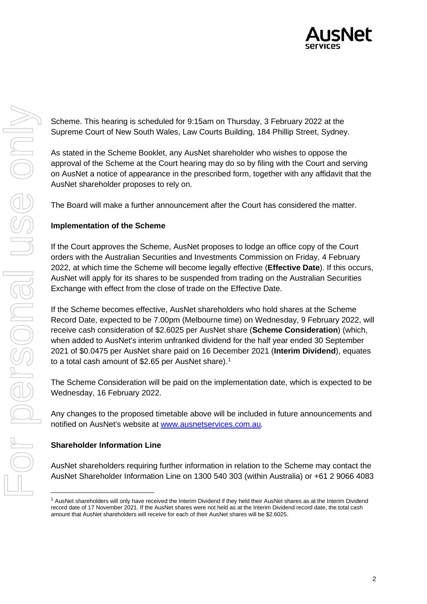

Scheme. This hearing is scheduled for 9:15am on Thursday, 3 February 2022 at the Supreme Court of New South Wales, Law Courts Building, 184 Phillip Street, Sydney.

As stated in the Scheme Booklet, any AusNet shareholder who wishes to oppose the approval of the Scheme at the Court hearing may do so by filing with the Court and serving on AusNet a notice of appearance in the prescribed form, together with any affidavit that the AusNet shareholder proposes to rely on.

The Board will make a further announcement after the Court has considered the matter.

#### **Implementation of the Scheme**

If the Court approves the Scheme, AusNet proposes to lodge an office copy of the Court orders with the Australian Securities and Investments Commission on Friday, 4 February 2022, at which time the Scheme will become legally effective (**Effective Date**). If this occurs, AusNet will apply for its shares to be suspended from trading on the Australian Securities Exchange with effect from the close of trade on the Effective Date.

If the Scheme becomes effective, AusNet shareholders who hold shares at the Scheme Record Date, expected to be 7.00pm (Melbourne time) on Wednesday, 9 February 2022, will receive cash consideration of \$2.6025 per AusNet share (**Scheme Consideration**) (which, when added to AusNet's interim unfranked dividend for the half year ended 30 September 2021 of \$0.0475 per AusNet share paid on 16 December 2021 (**Interim Dividend**), equates to a total cash amount of \$2.65 per AusNet share).<sup>[1](#page-1-0)</sup>

The Scheme Consideration will be paid on the implementation date, which is expected to be Wednesday, 16 February 2022.

Any changes to the proposed timetable above will be included in future announcements and notified on AusNet's website at [www.ausnetservices.com.au.](http://www.ausnetservices.com.au/)

#### **Shareholder Information Line**

AusNet shareholders requiring further information in relation to the Scheme may contact the AusNet Shareholder Information Line on 1300 540 303 (within Australia) or +61 2 9066 4083

<span id="page-1-0"></span><sup>1</sup> AusNet shareholders will only have received the Interim Dividend if they held their AusNet shares as at the Interim Dividend record date of 17 November 2021. If the AusNet shares were not held as at the Interim Dividend record date, the total cash amount that AusNet shareholders will receive for each of their AusNet shares will be \$2.6025.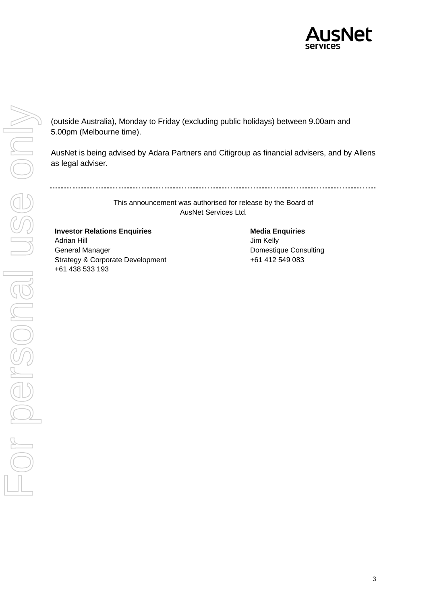

(outside Australia), Monday to Friday (excluding public holidays) between 9.00am and 5.00pm (Melbourne time).

AusNet is being advised by Adara Partners and Citigroup as financial advisers, and by Allens as legal adviser.

This announcement was authorised for release by the Board of AusNet Services Ltd.

**Investor Relations Enquiries**  Adrian Hill General Manager Strategy & Corporate Development +61 438 533 193

**Media Enquiries**

Jim Kelly Domestique Consulting +61 412 549 083